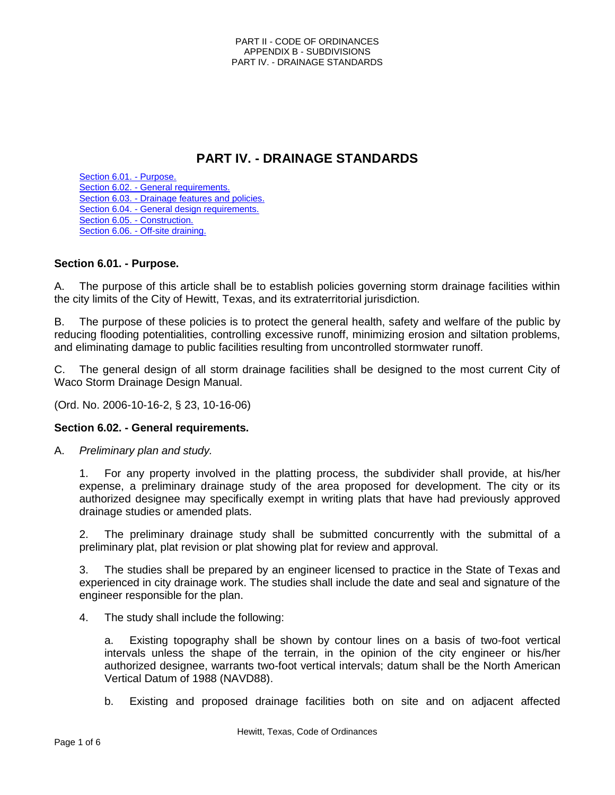# **PART IV. - DRAINAGE STANDARDS**

Section 6.01. - Purpose. Section 6.02. - General requirements. Section 6.03. - Drainage features and policies. Section 6.04. - General design requirements. Section 6.05. - Construction. Section 6.06. - Off-site draining.

# **Section 6.01. - Purpose.**

A. The purpose of this article shall be to establish policies governing storm drainage facilities within the city limits of the City of Hewitt, Texas, and its extraterritorial jurisdiction.

B. The purpose of these policies is to protect the general health, safety and welfare of the public by reducing flooding potentialities, controlling excessive runoff, minimizing erosion and siltation problems, and eliminating damage to public facilities resulting from uncontrolled stormwater runoff.

C. The general design of all storm drainage facilities shall be designed to the most current City of Waco Storm Drainage Design Manual.

(Ord. No. 2006-10-16-2, § 23, 10-16-06)

## **Section 6.02. - General requirements.**

A. *Preliminary plan and study.*

1. For any property involved in the platting process, the subdivider shall provide, at his/her expense, a preliminary drainage study of the area proposed for development. The city or its authorized designee may specifically exempt in writing plats that have had previously approved drainage studies or amended plats.

2. The preliminary drainage study shall be submitted concurrently with the submittal of a preliminary plat, plat revision or plat showing plat for review and approval.

3. The studies shall be prepared by an engineer licensed to practice in the State of Texas and experienced in city drainage work. The studies shall include the date and seal and signature of the engineer responsible for the plan.

4. The study shall include the following:

a. Existing topography shall be shown by contour lines on a basis of two-foot vertical intervals unless the shape of the terrain, in the opinion of the city engineer or his/her authorized designee, warrants two-foot vertical intervals; datum shall be the North American Vertical Datum of 1988 (NAVD88).

b. Existing and proposed drainage facilities both on site and on adjacent affected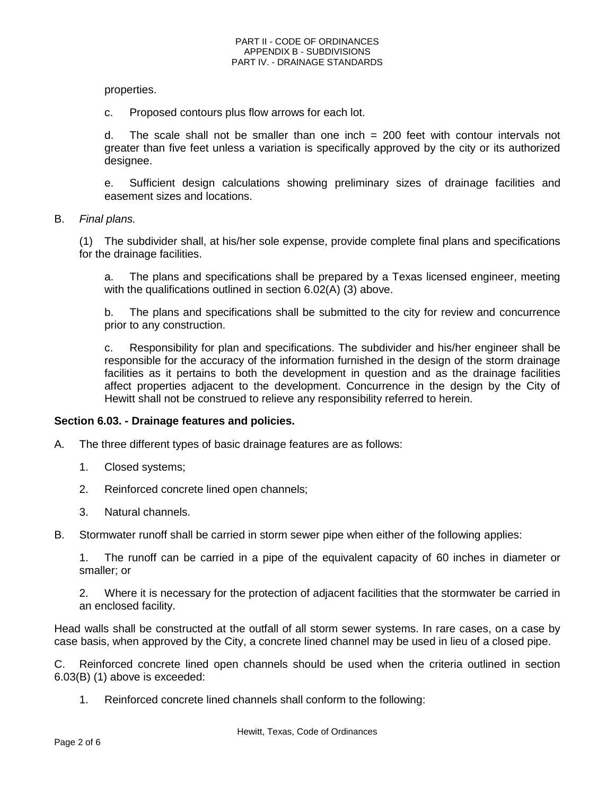properties.

c. Proposed contours plus flow arrows for each lot.

d. The scale shall not be smaller than one inch = 200 feet with contour intervals not greater than five feet unless a variation is specifically approved by the city or its authorized designee.

e. Sufficient design calculations showing preliminary sizes of drainage facilities and easement sizes and locations.

B. *Final plans.*

(1) The subdivider shall, at his/her sole expense, provide complete final plans and specifications for the drainage facilities.

a. The plans and specifications shall be prepared by a Texas licensed engineer, meeting with the qualifications outlined in section 6.02(A) (3) above.

b. The plans and specifications shall be submitted to the city for review and concurrence prior to any construction.

c. Responsibility for plan and specifications. The subdivider and his/her engineer shall be responsible for the accuracy of the information furnished in the design of the storm drainage facilities as it pertains to both the development in question and as the drainage facilities affect properties adjacent to the development. Concurrence in the design by the City of Hewitt shall not be construed to relieve any responsibility referred to herein.

## **Section 6.03. - Drainage features and policies.**

- A. The three different types of basic drainage features are as follows:
	- 1. Closed systems;
	- 2. Reinforced concrete lined open channels;
	- 3. Natural channels.
- B. Stormwater runoff shall be carried in storm sewer pipe when either of the following applies:

1. The runoff can be carried in a pipe of the equivalent capacity of 60 inches in diameter or smaller; or

2. Where it is necessary for the protection of adjacent facilities that the stormwater be carried in an enclosed facility.

Head walls shall be constructed at the outfall of all storm sewer systems. In rare cases, on a case by case basis, when approved by the City, a concrete lined channel may be used in lieu of a closed pipe.

C. Reinforced concrete lined open channels should be used when the criteria outlined in section 6.03(B) (1) above is exceeded:

1. Reinforced concrete lined channels shall conform to the following: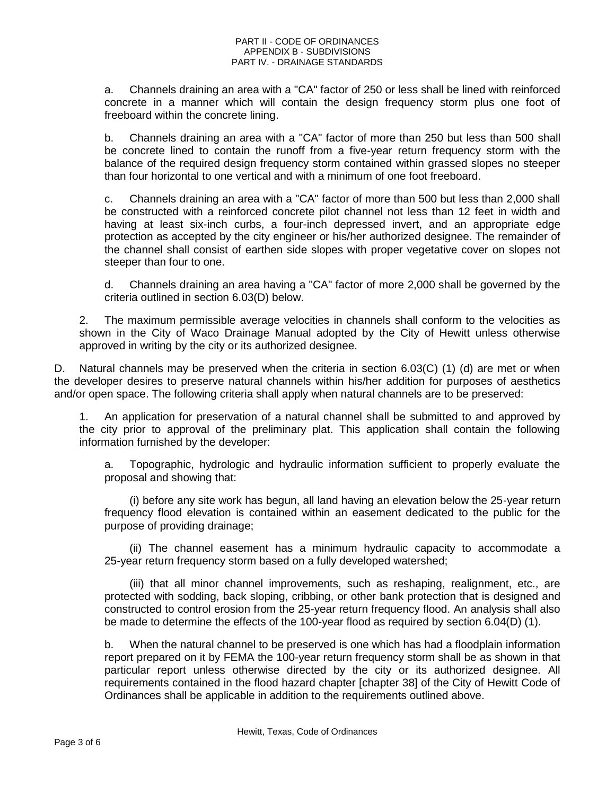a. Channels draining an area with a "CA" factor of 250 or less shall be lined with reinforced concrete in a manner which will contain the design frequency storm plus one foot of freeboard within the concrete lining.

b. Channels draining an area with a "CA" factor of more than 250 but less than 500 shall be concrete lined to contain the runoff from a five-year return frequency storm with the balance of the required design frequency storm contained within grassed slopes no steeper than four horizontal to one vertical and with a minimum of one foot freeboard.

c. Channels draining an area with a "CA" factor of more than 500 but less than 2,000 shall be constructed with a reinforced concrete pilot channel not less than 12 feet in width and having at least six-inch curbs, a four-inch depressed invert, and an appropriate edge protection as accepted by the city engineer or his/her authorized designee. The remainder of the channel shall consist of earthen side slopes with proper vegetative cover on slopes not steeper than four to one.

d. Channels draining an area having a "CA" factor of more 2,000 shall be governed by the criteria outlined in section 6.03(D) below.

2. The maximum permissible average velocities in channels shall conform to the velocities as shown in the City of Waco Drainage Manual adopted by the City of Hewitt unless otherwise approved in writing by the city or its authorized designee.

D. Natural channels may be preserved when the criteria in section 6.03(C) (1) (d) are met or when the developer desires to preserve natural channels within his/her addition for purposes of aesthetics and/or open space. The following criteria shall apply when natural channels are to be preserved:

1. An application for preservation of a natural channel shall be submitted to and approved by the city prior to approval of the preliminary plat. This application shall contain the following information furnished by the developer:

a. Topographic, hydrologic and hydraulic information sufficient to properly evaluate the proposal and showing that:

(i) before any site work has begun, all land having an elevation below the 25-year return frequency flood elevation is contained within an easement dedicated to the public for the purpose of providing drainage;

(ii) The channel easement has a minimum hydraulic capacity to accommodate a 25-year return frequency storm based on a fully developed watershed;

(iii) that all minor channel improvements, such as reshaping, realignment, etc., are protected with sodding, back sloping, cribbing, or other bank protection that is designed and constructed to control erosion from the 25-year return frequency flood. An analysis shall also be made to determine the effects of the 100-year flood as required by section 6.04(D) (1).

b. When the natural channel to be preserved is one which has had a floodplain information report prepared on it by FEMA the 100-year return frequency storm shall be as shown in that particular report unless otherwise directed by the city or its authorized designee. All requirements contained in the flood hazard chapter [chapter 38] of the City of Hewitt Code of Ordinances shall be applicable in addition to the requirements outlined above.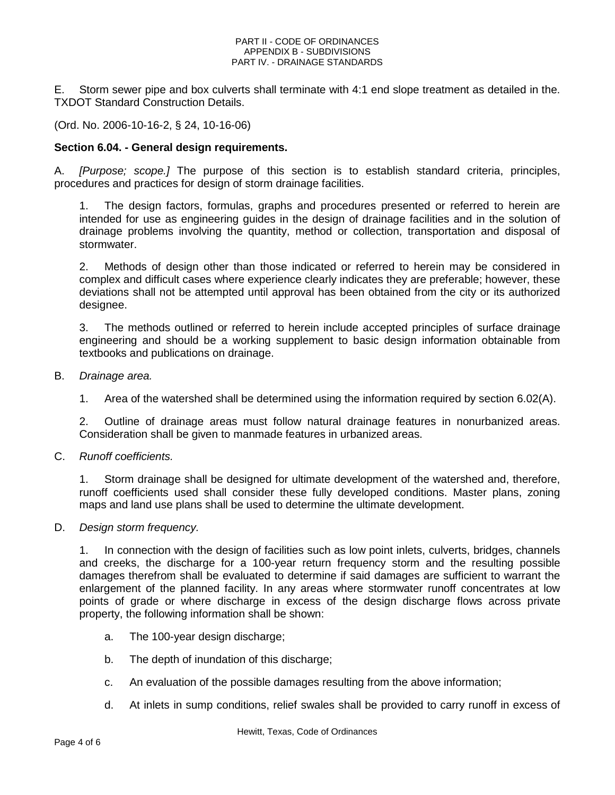#### PART II - CODE OF ORDINANCES APPENDIX B - SUBDIVISIONS PART IV. - DRAINAGE STANDARDS

E. Storm sewer pipe and box culverts shall terminate with 4:1 end slope treatment as detailed in the. TXDOT Standard Construction Details.

(Ord. No. 2006-10-16-2, § 24, 10-16-06)

# **Section 6.04. - General design requirements.**

A. *[Purpose; scope.]* The purpose of this section is to establish standard criteria, principles, procedures and practices for design of storm drainage facilities.

The design factors, formulas, graphs and procedures presented or referred to herein are intended for use as engineering guides in the design of drainage facilities and in the solution of drainage problems involving the quantity, method or collection, transportation and disposal of stormwater.

2. Methods of design other than those indicated or referred to herein may be considered in complex and difficult cases where experience clearly indicates they are preferable; however, these deviations shall not be attempted until approval has been obtained from the city or its authorized designee.

3. The methods outlined or referred to herein include accepted principles of surface drainage engineering and should be a working supplement to basic design information obtainable from textbooks and publications on drainage.

- B. *Drainage area.*
	- 1. Area of the watershed shall be determined using the information required by section 6.02(A).

2. Outline of drainage areas must follow natural drainage features in nonurbanized areas. Consideration shall be given to manmade features in urbanized areas.

C. *Runoff coefficients.*

1. Storm drainage shall be designed for ultimate development of the watershed and, therefore, runoff coefficients used shall consider these fully developed conditions. Master plans, zoning maps and land use plans shall be used to determine the ultimate development.

## D. *Design storm frequency.*

1. In connection with the design of facilities such as low point inlets, culverts, bridges, channels and creeks, the discharge for a 100-year return frequency storm and the resulting possible damages therefrom shall be evaluated to determine if said damages are sufficient to warrant the enlargement of the planned facility. In any areas where stormwater runoff concentrates at low points of grade or where discharge in excess of the design discharge flows across private property, the following information shall be shown:

- a. The 100-year design discharge;
- b. The depth of inundation of this discharge;
- c. An evaluation of the possible damages resulting from the above information;
- d. At inlets in sump conditions, relief swales shall be provided to carry runoff in excess of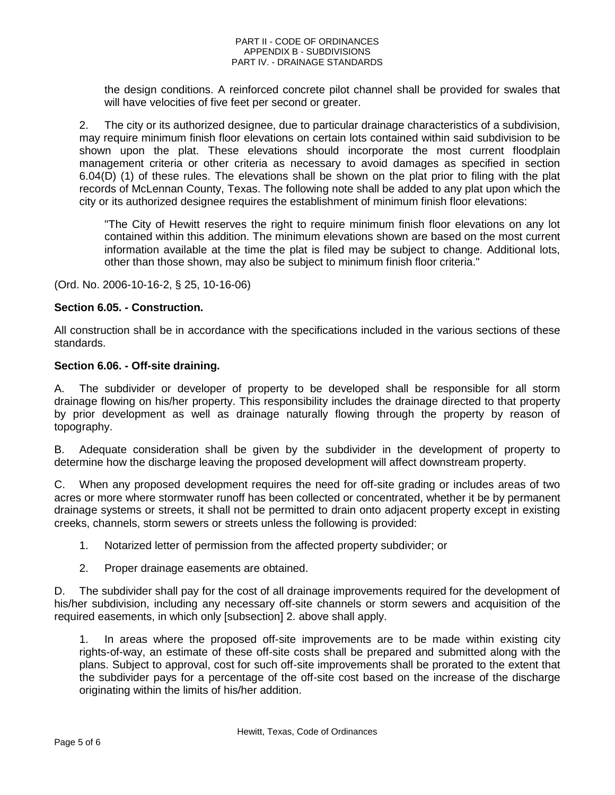#### PART II - CODE OF ORDINANCES APPENDIX B - SUBDIVISIONS PART IV. - DRAINAGE STANDARDS

the design conditions. A reinforced concrete pilot channel shall be provided for swales that will have velocities of five feet per second or greater.

2. The city or its authorized designee, due to particular drainage characteristics of a subdivision, may require minimum finish floor elevations on certain lots contained within said subdivision to be shown upon the plat. These elevations should incorporate the most current floodplain management criteria or other criteria as necessary to avoid damages as specified in section 6.04(D) (1) of these rules. The elevations shall be shown on the plat prior to filing with the plat records of McLennan County, Texas. The following note shall be added to any plat upon which the city or its authorized designee requires the establishment of minimum finish floor elevations:

"The City of Hewitt reserves the right to require minimum finish floor elevations on any lot contained within this addition. The minimum elevations shown are based on the most current information available at the time the plat is filed may be subject to change. Additional lots, other than those shown, may also be subject to minimum finish floor criteria."

(Ord. No. 2006-10-16-2, § 25, 10-16-06)

## **Section 6.05. - Construction.**

All construction shall be in accordance with the specifications included in the various sections of these standards.

## **Section 6.06. - Off-site draining.**

A. The subdivider or developer of property to be developed shall be responsible for all storm drainage flowing on his/her property. This responsibility includes the drainage directed to that property by prior development as well as drainage naturally flowing through the property by reason of topography.

B. Adequate consideration shall be given by the subdivider in the development of property to determine how the discharge leaving the proposed development will affect downstream property.

C. When any proposed development requires the need for off-site grading or includes areas of two acres or more where stormwater runoff has been collected or concentrated, whether it be by permanent drainage systems or streets, it shall not be permitted to drain onto adjacent property except in existing creeks, channels, storm sewers or streets unless the following is provided:

- 1. Notarized letter of permission from the affected property subdivider; or
- 2. Proper drainage easements are obtained.

D. The subdivider shall pay for the cost of all drainage improvements required for the development of his/her subdivision, including any necessary off-site channels or storm sewers and acquisition of the required easements, in which only [subsection] 2. above shall apply.

1. In areas where the proposed off-site improvements are to be made within existing city rights-of-way, an estimate of these off-site costs shall be prepared and submitted along with the plans. Subject to approval, cost for such off-site improvements shall be prorated to the extent that the subdivider pays for a percentage of the off-site cost based on the increase of the discharge originating within the limits of his/her addition.